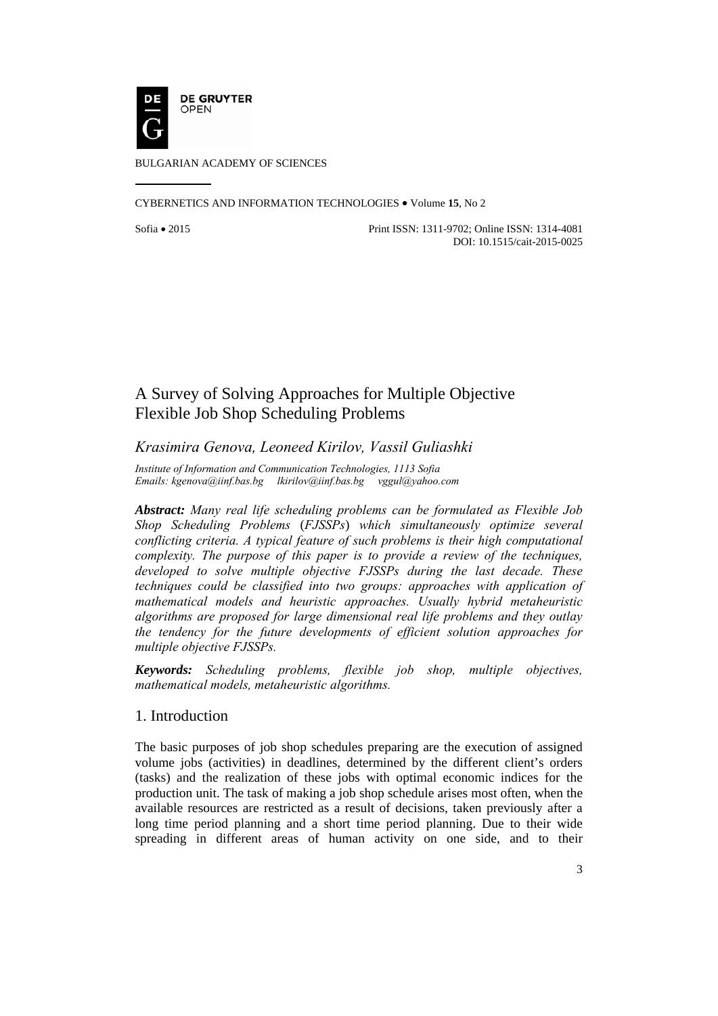

BULGARIAN ACADEMY OF SCIENCES

CYBERNETICS AND INFORMATION TECHNOLOGIES • Volume **15**, No 2

Sofia • 2015 Print ISSN: 1311-9702; Online ISSN: 1314-4081 DOI: 10.1515/cait-2015-0025

# A Survey of Solving Approaches for Multiple Objective Flexible Job Shop Scheduling Problems

# *Krasimira Genova, Leoneed Kirilov, Vassil Guliashki*

*Institute of Information and Communication Technologies, 1113 Sofia Emails: kgenova@iinf.bas.bg lkirilov@iinf.bas.bg vggul@yahoo.com* 

*Abstract: Many real life scheduling problems can be formulated as Flexible Job Shop Scheduling Problems* (*FJSSPs*) *which simultaneously optimize several conflicting criteria. A typical feature of such problems is their high computational complexity. The purpose of this paper is to provide a review of the techniques, developed to solve multiple objective FJSSPs during the last decade. These techniques could be classified into two groups: approaches with application of mathematical models and heuristic approaches. Usually hybrid metaheuristic algorithms are proposed for large dimensional real life problems and they outlay the tendency for the future developments of efficient solution approaches for multiple objective FJSSPs.* 

*Keywords: Scheduling problems, flexible job shop, multiple objectives, mathematical models, metaheuristic algorithms.* 

# 1. Introduction

The basic purposes of job shop schedules preparing are the execution of assigned volume jobs (activities) in deadlines, determined by the different client's orders (tasks) and the realization of these jobs with optimal economic indices for the production unit. The task of making a job shop schedule arises most often, when the available resources are restricted as a result of decisions, taken previously after a long time period planning and a short time period planning. Due to their wide spreading in different areas of human activity on one side, and to their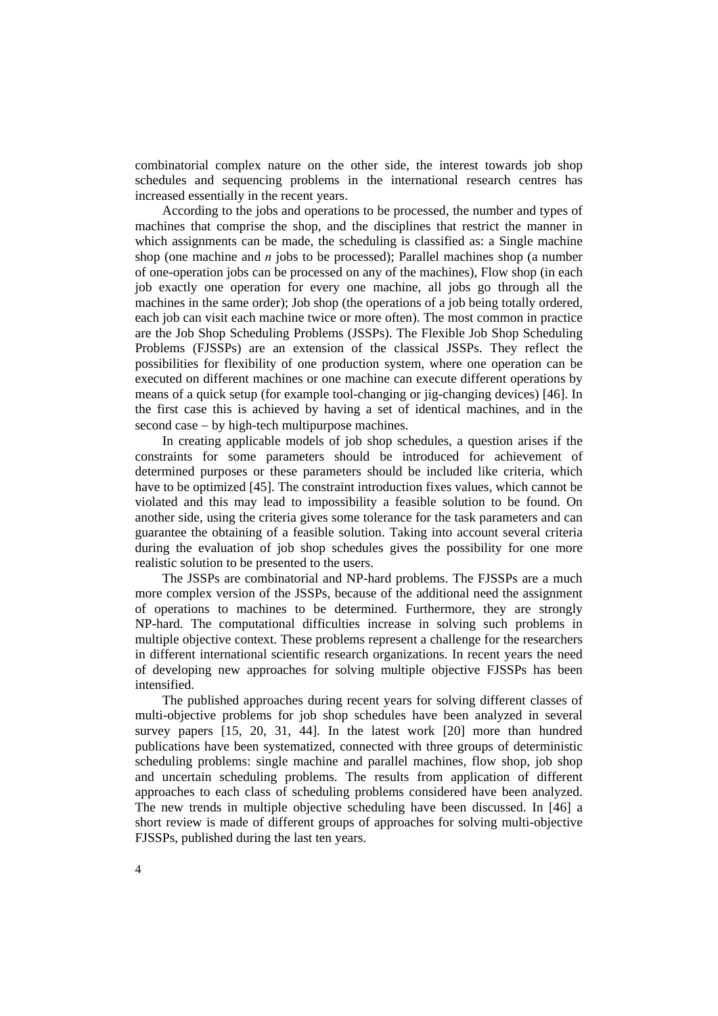combinatorial complex nature on the other side, the interest towards job shop schedules and sequencing problems in the international research centres has increased essentially in the recent years.

According to the jobs and operations to be processed, the number and types of machines that comprise the shop, and the disciplines that restrict the manner in which assignments can be made, the scheduling is classified as: a Single machine shop (one machine and *n* jobs to be processed); Parallel machines shop (a number of one-operation jobs can be processed on any of the machines), Flow shop (in each job exactly one operation for every one machine, all jobs go through all the machines in the same order); Job shop (the operations of a job being totally ordered, each job can visit each machine twice or more often). The most common in practice are the Job Shop Scheduling Problems (JSSPs). The Flexible Job Shop Scheduling Problems (FJSSPs) are an extension of the classical JSSPs. They reflect the possibilities for flexibility of one production system, where one operation can be executed on different machines or one machine can execute different operations by means of a quick setup (for example tool-changing or jig-changing devices) [46]. In the first case this is achieved by having a set of identical machines, and in the second case – by high-tech multipurpose machines.

In creating applicable models of job shop schedules, a question arises if the constraints for some parameters should be introduced for achievement of determined purposes or these parameters should be included like criteria, which have to be optimized [45]. The constraint introduction fixes values, which cannot be violated and this may lead to impossibility a feasible solution to be found. On another side, using the criteria gives some tolerance for the task parameters and can guarantee the obtaining of a feasible solution. Taking into account several criteria during the evaluation of job shop schedules gives the possibility for one more realistic solution to be presented to the users.

The JSSPs are combinatorial and NP-hard problems. The FJSSPs are a much more complex version of the JSSPs, because of the additional need the assignment of operations to machines to be determined. Furthermore, they are strongly NP-hard. The computational difficulties increase in solving such problems in multiple objective context. These problems represent a challenge for the researchers in different international scientific research organizations. In recent years the need of developing new approaches for solving multiple objective FJSSPs has been intensified.

The published approaches during recent years for solving different classes of multi-objective problems for job shop schedules have been analyzed in several survey papers [15, 20, 31, 44]. In the latest work [20] more than hundred publications have been systematized, connected with three groups of deterministic scheduling problems: single machine and parallel machines, flow shop, job shop and uncertain scheduling problems. The results from application of different approaches to each class of scheduling problems considered have been analyzed. The new trends in multiple objective scheduling have been discussed. In [46] a short review is made of different groups of approaches for solving multi-objective FJSSPs, published during the last ten years.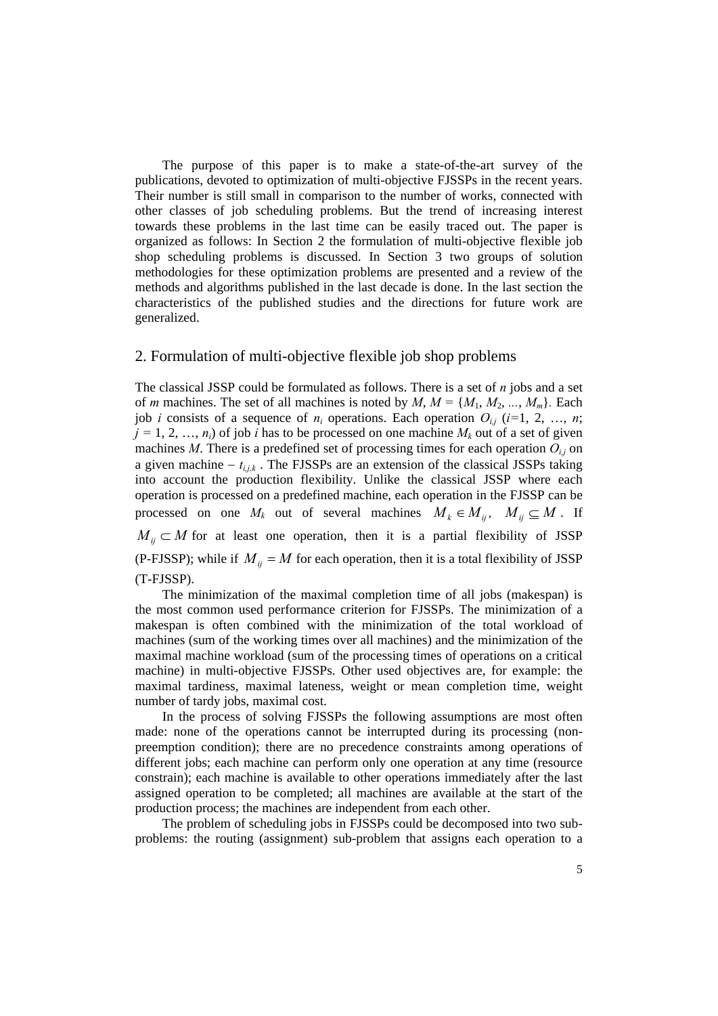The purpose of this paper is to make a state-of-the-art survey of the publications, devoted to optimization of multi-objective FJSSPs in the recent years. Their number is still small in comparison to the number of works, connected with other classes of job scheduling problems. But the trend of increasing interest towards these problems in the last time can be easily traced out. The paper is organized as follows: In Section 2 the formulation of multi-objective flexible job shop scheduling problems is discussed. In Section 3 two groups of solution methodologies for these optimization problems are presented and a review of the methods and algorithms published in the last decade is done. In the last section the characteristics of the published studies and the directions for future work are generalized.

### 2. Formulation of multi-objective flexible job shop problems

The classical JSSP could be formulated as follows. There is a set of *n* jobs and a set of *m* machines. The set of all machines is noted by  $M, M = \{M_1, M_2, ..., M_m\}$ . Each job *i* consists of a sequence of  $n_i$  operations. Each operation  $O_{i,j}$  (*i*=1, 2, …, *n*;  $j = 1, 2, ..., n_i$  of job *i* has to be processed on one machine  $M_k$  out of a set of given machines *M*. There is a predefined set of processing times for each operation  $O_{i,j}$  on a given machine − *ti,j,k* . The FJSSPs are an extension of the classical JSSPs taking into account the production flexibility. Unlike the classical JSSP where each operation is processed on a predefined machine, each operation in the FJSSP can be processed on one  $M_k$  out of several machines  $M_k \in M_{ij}$ ,  $M_{ij} \subseteq M$ . If  $M_{ii} \subset M$  for at least one operation, then it is a partial flexibility of JSSP (P-FJSSP); while if  $M_{ij} = M$  for each operation, then it is a total flexibility of JSSP (T-FJSSP).

The minimization of the maximal completion time of all jobs (makespan) is the most common used performance criterion for FJSSPs. The minimization of a makespan is often combined with the minimization of the total workload of machines (sum of the working times over all machines) and the minimization of the maximal machine workload (sum of the processing times of operations on a critical machine) in multi-objective FJSSPs. Other used objectives are, for example: the maximal tardiness, maximal lateness, weight or mean completion time, weight number of tardy jobs, maximal cost.

In the process of solving FJSSPs the following assumptions are most often made: none of the operations cannot be interrupted during its processing (nonpreemption condition); there are no precedence constraints among operations of different jobs; each machine can perform only one operation at any time (resource constrain); each machine is available to other operations immediately after the last assigned operation to be completed; all machines are available at the start of the production process; the machines are independent from each other.

The problem of scheduling jobs in FJSSPs could be decomposed into two subproblems: the routing (assignment) sub-problem that assigns each operation to a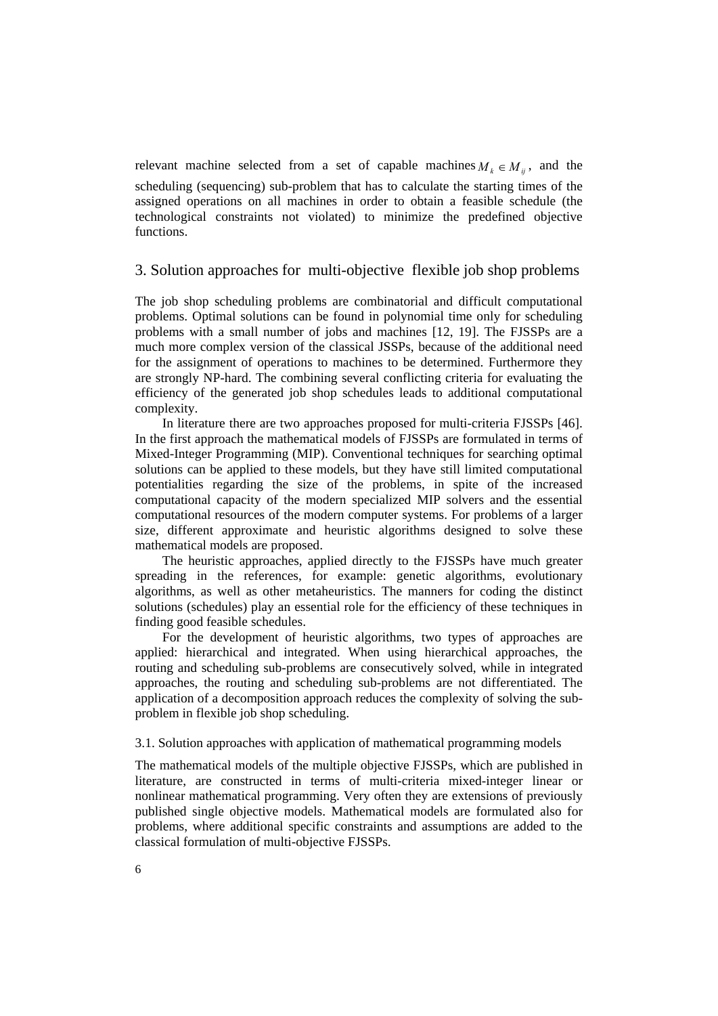relevant machine selected from a set of capable machines  $M_k \in M_{ij}$ , and the scheduling (sequencing) sub-problem that has to calculate the starting times of the assigned operations on all machines in order to obtain a feasible schedule (the technological constraints not violated) to minimize the predefined objective functions.

# 3. Solution approaches for multi-objective flexible job shop problems

The job shop scheduling problems are combinatorial and difficult computational problems. Optimal solutions can be found in polynomial time only for scheduling problems with a small number of jobs and machines [12, 19]. The FJSSPs are a much more complex version of the classical JSSPs, because of the additional need for the assignment of operations to machines to be determined. Furthermore they are strongly NP-hard. The combining several conflicting criteria for evaluating the efficiency of the generated job shop schedules leads to additional computational complexity.

In literature there are two approaches proposed for multi-criteria FJSSPs [46]. In the first approach the mathematical models of FJSSPs are formulated in terms of Mixed-Integer Programming (MIP). Conventional techniques for searching optimal solutions can be applied to these models, but they have still limited computational potentialities regarding the size of the problems, in spite of the increased computational capacity of the modern specialized MIP solvers and the essential computational resources of the modern computer systems. For problems of a larger size, different approximate and heuristic algorithms designed to solve these mathematical models are proposed.

The heuristic approaches, applied directly to the FJSSPs have much greater spreading in the references, for example: genetic algorithms, evolutionary algorithms, as well as other metaheuristics. The manners for coding the distinct solutions (schedules) play an essential role for the efficiency of these techniques in finding good feasible schedules.

For the development of heuristic algorithms, two types of approaches are applied: hierarchical and integrated. When using hierarchical approaches, the routing and scheduling sub-problems are consecutively solved, while in integrated approaches, the routing and scheduling sub-problems are not differentiated. The application of a decomposition approach reduces the complexity of solving the subproblem in flexible job shop scheduling.

#### 3.1. Solution approaches with application of mathematical programming models

The mathematical models of the multiple objective FJSSPs, which are published in literature, are constructed in terms of multi-criteria mixed-integer linear or nonlinear mathematical programming. Very often they are extensions of previously published single objective models. Mathematical models are formulated also for problems, where additional specific constraints and assumptions are added to the classical formulation of multi-objective FJSSPs.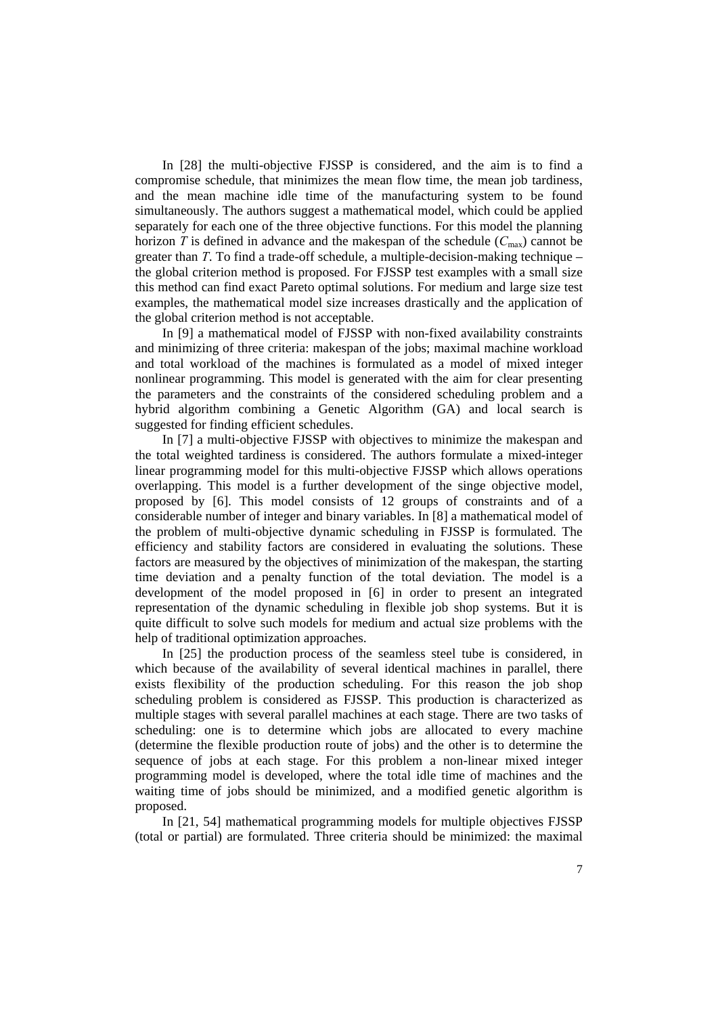In [28] the multi-objective FJSSP is considered, and the aim is to find a compromise schedule, that minimizes the mean flow time, the mean job tardiness, and the mean machine idle time of the manufacturing system to be found simultaneously. The authors suggest a mathematical model, which could be applied separately for each one of the three objective functions. For this model the planning horizon *T* is defined in advance and the makespan of the schedule  $(C_{\text{max}})$  cannot be greater than *T*. To find a trade-off schedule, a multiple-decision-making technique – the global criterion method is proposed. For FJSSP test examples with a small size this method can find exact Pareto optimal solutions. For medium and large size test examples, the mathematical model size increases drastically and the application of the global criterion method is not acceptable.

In [9] a mathematical model of FJSSP with non-fixed availability constraints and minimizing of three criteria: makespan of the jobs; maximal machine workload and total workload of the machines is formulated as a model of mixed integer nonlinear programming. This model is generated with the aim for clear presenting the parameters and the constraints of the considered scheduling problem and a hybrid algorithm combining a Genetic Algorithm (GA) and local search is suggested for finding efficient schedules.

In [7] a multi-objective FJSSP with objectives to minimize the makespan and the total weighted tardiness is considered. The authors formulate a mixed-integer linear programming model for this multi-objective FJSSP which allows operations overlapping. This model is a further development of the singe objective model, proposed by [6]. This model consists of 12 groups of constraints and of a considerable number of integer and binary variables. In [8] a mathematical model of the problem of multi-objective dynamic scheduling in FJSSP is formulated. The efficiency and stability factors are considered in evaluating the solutions. These factors are measured by the objectives of minimization of the makespan, the starting time deviation and a penalty function of the total deviation. The model is a development of the model proposed in [6] in order to present an integrated representation of the dynamic scheduling in flexible job shop systems. But it is quite difficult to solve such models for medium and actual size problems with the help of traditional optimization approaches.

In [25] the production process of the seamless steel tube is considered, in which because of the availability of several identical machines in parallel, there exists flexibility of the production scheduling. For this reason the job shop scheduling problem is considered as FJSSP. This production is characterized as multiple stages with several parallel machines at each stage. There are two tasks of scheduling: one is to determine which jobs are allocated to every machine (determine the flexible production route of jobs) and the other is to determine the sequence of jobs at each stage. For this problem a non-linear mixed integer programming model is developed, where the total idle time of machines and the waiting time of jobs should be minimized, and a modified genetic algorithm is proposed.

In [21, 54] mathematical programming models for multiple objectives FJSSP (total or partial) are formulated. Three criteria should be minimized: the maximal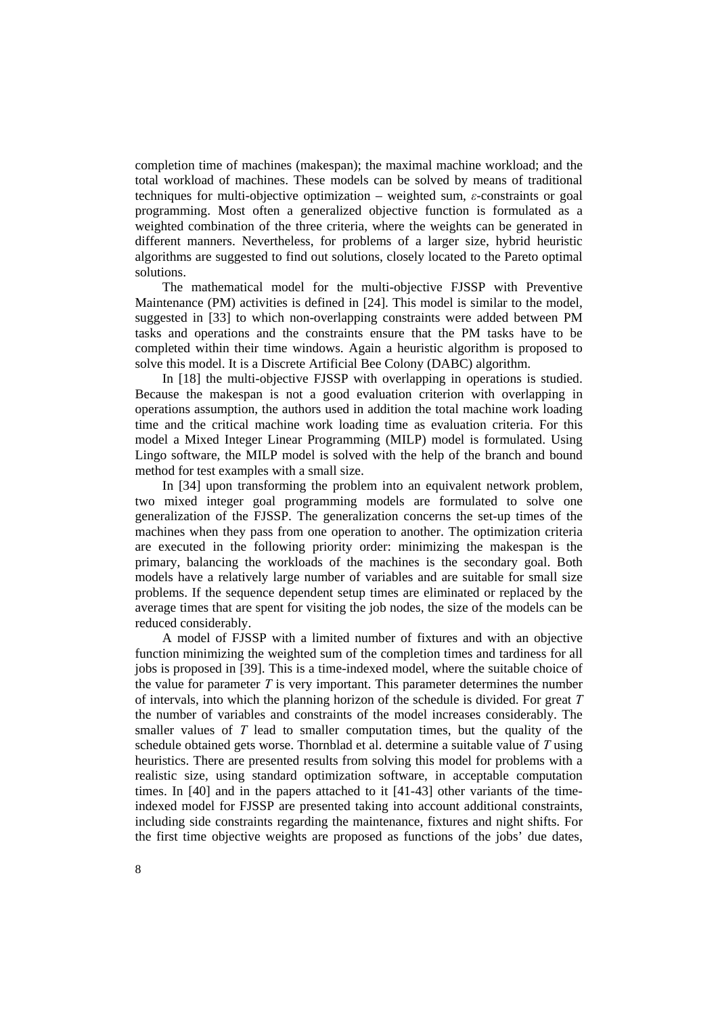completion time of machines (makespan); the maximal machine workload; and the total workload of machines. These models can be solved by means of traditional techniques for multi-objective optimization – weighted sum, *ε*-constraints or goal programming. Most often a generalized objective function is formulated as a weighted combination of the three criteria, where the weights can be generated in different manners. Nevertheless, for problems of a larger size, hybrid heuristic algorithms are suggested to find out solutions, closely located to the Pareto optimal solutions.

The mathematical model for the multi-objective FJSSP with Preventive Maintenance (PM) activities is defined in [24]. This model is similar to the model, suggested in [33] to which non-overlapping constraints were added between PM tasks and operations and the constraints ensure that the PM tasks have to be completed within their time windows. Again a heuristic algorithm is proposed to solve this model. It is a Discrete Artificial Bee Colony (DABC) algorithm.

In [18] the multi-objective FJSSP with overlapping in operations is studied. Because the makespan is not a good evaluation criterion with overlapping in operations assumption, the authors used in addition the total machine work loading time and the critical machine work loading time as evaluation criteria. For this model a Mixed Integer Linear Programming (MILP) model is formulated. Using Lingo software, the MILP model is solved with the help of the branch and bound method for test examples with a small size.

In [34] upon transforming the problem into an equivalent network problem, two mixed integer goal programming models are formulated to solve one generalization of the FJSSP. The generalization concerns the set-up times of the machines when they pass from one operation to another. The optimization criteria are executed in the following priority order: minimizing the makespan is the primary, balancing the workloads of the machines is the secondary goal. Both models have a relatively large number of variables and are suitable for small size problems. If the sequence dependent setup times are eliminated or replaced by the average times that are spent for visiting the job nodes, the size of the models can be reduced considerably.

A model of FJSSP with a limited number of fixtures and with an objective function minimizing the weighted sum of the completion times and tardiness for all jobs is proposed in [39]. This is a time-indexed model, where the suitable choice of the value for parameter *T* is very important. This parameter determines the number of intervals, into which the planning horizon of the schedule is divided. For great *Т* the number of variables and constraints of the model increases considerably. The smaller values of *T* lead to smaller computation times, but the quality of the schedule obtained gets worse. Thornblad et al. determine a suitable value of *T* using heuristics. There are presented results from solving this model for problems with a realistic size, using standard optimization software, in acceptable computation times. In [40] and in the papers attached to it [41-43] other variants of the timeindexed model for FJSSP are presented taking into account additional constraints, including side constraints regarding the maintenance, fixtures and night shifts. For the first time objective weights are proposed as functions of the jobs' due dates,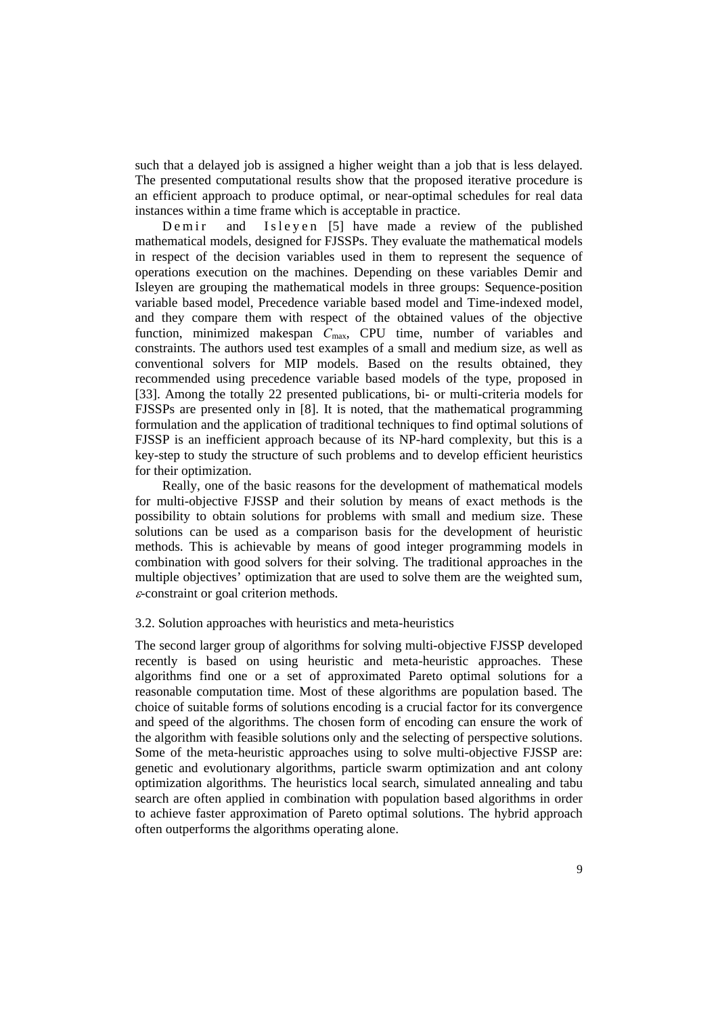such that a delayed job is assigned a higher weight than a job that is less delayed. The presented computational results show that the proposed iterative procedure is an efficient approach to produce optimal, or near-optimal schedules for real data instances within a time frame which is acceptable in practice.

De m i r and I s l e y e n [5] have made a review of the published mathematical models, designed for FJSSPs. They evaluate the mathematical models in respect of the decision variables used in them to represent the sequence of operations execution on the machines. Depending on these variables Demir and Isleyen are grouping the mathematical models in three groups: Sequence-position variable based model, Precedence variable based model and Time-indexed model, and they compare them with respect of the obtained values of the objective function, minimized makespan C<sub>max</sub>, CPU time, number of variables and constraints. The authors used test examples of a small and medium size, as well as conventional solvers for MIP models. Based on the results obtained, they recommended using precedence variable based models of the type, proposed in [33]. Among the totally 22 presented publications, bi- or multi-criteria models for FJSSPs are presented only in [8]. It is noted, that the mathematical programming formulation and the application of traditional techniques to find optimal solutions of FJSSP is an inefficient approach because of its NP-hard complexity, but this is a key-step to study the structure of such problems and to develop efficient heuristics for their optimization.

Really, one of the basic reasons for the development of mathematical models for multi-objective FJSSP and their solution by means of exact methods is the possibility to obtain solutions for problems with small and medium size. These solutions can be used as a comparison basis for the development of heuristic methods. This is achievable by means of good integer programming models in combination with good solvers for their solving. The traditional approaches in the multiple objectives' optimization that are used to solve them are the weighted sum, <sup>ε</sup>-constraint or goal criterion methods.

#### 3.2. Solution approaches with heuristics and meta-heuristics

The second larger group of algorithms for solving multi-objective FJSSP developed recently is based on using heuristic and meta-heuristic approaches. These algorithms find one or a set of approximated Pareto optimal solutions for a reasonable computation time. Most of these algorithms are population based. The choice of suitable forms of solutions encoding is a crucial factor for its convergence and speed of the algorithms. The chosen form of encoding can ensure the work of the algorithm with feasible solutions only and the selecting of perspective solutions. Some of the meta-heuristic approaches using to solve multi-objective FJSSP are: genetic and evolutionary algorithms, particle swarm optimization and ant colony optimization algorithms. The heuristics local search, simulated annealing and tabu search are often applied in combination with population based algorithms in order to achieve faster approximation of Pareto optimal solutions. The hybrid approach often outperforms the algorithms operating alone.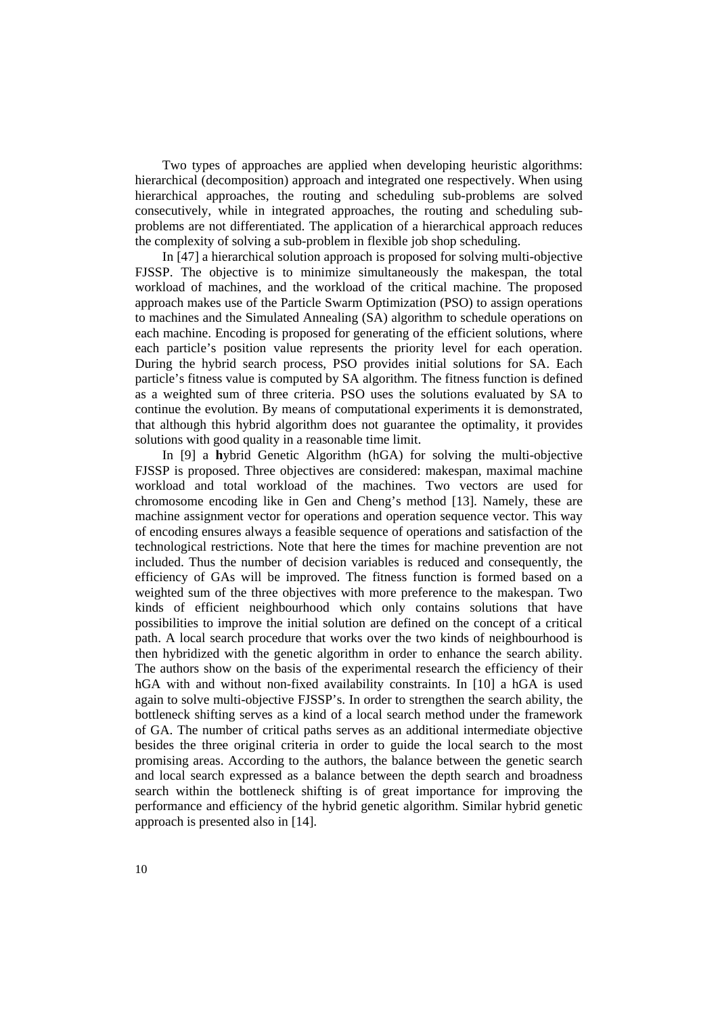Two types of approaches are applied when developing heuristic algorithms: hierarchical (decomposition) approach and integrated one respectively. When using hierarchical approaches, the routing and scheduling sub-problems are solved consecutively, while in integrated approaches, the routing and scheduling subproblems are not differentiated. The application of a hierarchical approach reduces the complexity of solving a sub-problem in flexible job shop scheduling.

In [47] a hierarchical solution approach is proposed for solving multi-objective FJSSP. The objective is to minimize simultaneously the makespan, the total workload of machines, and the workload of the critical machine. The proposed approach makes use of the Particle Swarm Optimization (PSO) to assign operations to machines and the Simulated Annealing (SA) algorithm to schedule operations on each machine. Encoding is proposed for generating of the efficient solutions, where each particle's position value represents the priority level for each operation. During the hybrid search process, PSO provides initial solutions for SA. Each particle's fitness value is computed by SA algorithm. The fitness function is defined as a weighted sum of three criteria. PSO uses the solutions evaluated by SA to continue the evolution. By means of computational experiments it is demonstrated, that although this hybrid algorithm does not guarantee the optimality, it provides solutions with good quality in a reasonable time limit.

In [9] a **h**ybrid Genetic Algorithm (hGA) for solving the multi-objective FJSSP is proposed. Three objectives are considered: makespan, maximal machine workload and total workload of the machines. Two vectors are used for chromosome encoding like in Gen and Cheng's method [13]. Namely, these are machine assignment vector for operations and operation sequence vector. This way of encoding ensures always a feasible sequence of operations and satisfaction of the technological restrictions. Note that here the times for machine prevention are not included. Thus the number of decision variables is reduced and consequently, the efficiency of GAs will be improved. The fitness function is formed based on a weighted sum of the three objectives with more preference to the makespan. Two kinds of efficient neighbourhood which only contains solutions that have possibilities to improve the initial solution are defined on the concept of a critical path. A local search procedure that works over the two kinds of neighbourhood is then hybridized with the genetic algorithm in order to enhance the search ability. The authors show on the basis of the experimental research the efficiency of their hGA with and without non-fixed availability constraints. In [10] a hGA is used again to solve multi-objective FJSSP's. In order to strengthen the search ability, the bottleneck shifting serves as a kind of a local search method under the framework of GA. The number of critical paths serves as an additional intermediate objective besides the three original criteria in order to guide the local search to the most promising areas. According to the authors, the balance between the genetic search and local search expressed as a balance between the depth search and broadness search within the bottleneck shifting is of great importance for improving the performance and efficiency of the hybrid genetic algorithm. Similar hybrid genetic approach is presented also in [14].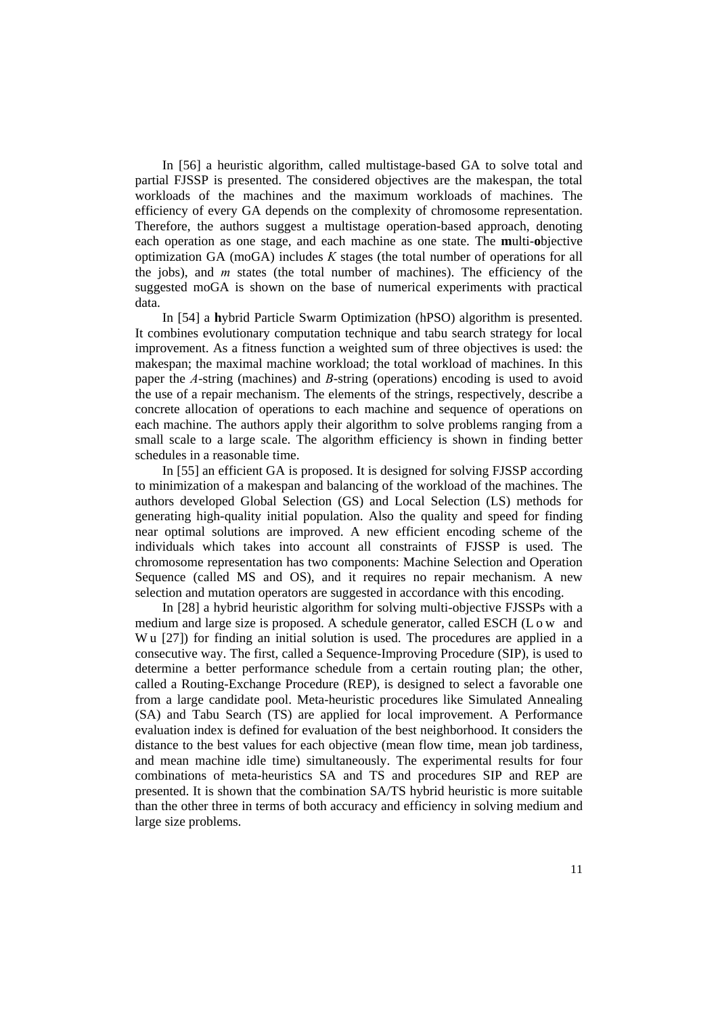In [56] a heuristic algorithm, called multistage-based GA to solve total and partial FJSSP is presented. The considered objectives are the makespan, the total workloads of the machines and the maximum workloads of machines. The efficiency of every GA depends on the complexity of chromosome representation. Therefore, the authors suggest a multistage operation-based approach, denoting each operation as one stage, and each machine as one state. The **m**ulti-**o**bjective optimization GA (moGA) includes *K* stages (the total number of operations for all the jobs), and *m* states (the total number of machines). The efficiency of the suggested moGA is shown on the base of numerical experiments with practical data.

In [54] a **h**ybrid Particle Swarm Optimization (hPSO) algorithm is presented. It combines evolutionary computation technique and tabu search strategy for local improvement. As a fitness function a weighted sum of three objectives is used: the makespan; the maximal machine workload; the total workload of machines. In this paper the *A*-string (machines) and *B*-string (operations) encoding is used to avoid the use of a repair mechanism. The elements of the strings, respectively, describe a concrete allocation of operations to each machine and sequence of operations on each machine. The authors apply their algorithm to solve problems ranging from a small scale to a large scale. The algorithm efficiency is shown in finding better schedules in a reasonable time.

In [55] an efficient GA is proposed. It is designed for solving FJSSP according to minimization of a makespan and balancing of the workload of the machines. The authors developed Global Selection (GS) and Local Selection (LS) methods for generating high-quality initial population. Also the quality and speed for finding near optimal solutions are improved. A new efficient encoding scheme of the individuals which takes into account all constraints of FJSSP is used. The chromosome representation has two components: Machine Selection and Operation Sequence (called MS and OS), and it requires no repair mechanism. A new selection and mutation operators are suggested in accordance with this encoding.

In [28] a hybrid heuristic algorithm for solving multi-objective FJSSPs with a medium and large size is proposed. A schedule generator, called ESCH (L o w and W u [27]) for finding an initial solution is used. The procedures are applied in a consecutive way. The first, called a Sequence-Improving Procedure (SIP), is used to determine a better performance schedule from a certain routing plan; the other, called a Routing-Exchange Procedure (REP), is designed to select a favorable one from a large candidate pool. Meta-heuristic procedures like Simulated Annealing (SA) and Tabu Search (TS) are applied for local improvement. A Performance evaluation index is defined for evaluation of the best neighborhood. It considers the distance to the best values for each objective (mean flow time, mean job tardiness, and mean machine idle time) simultaneously. The experimental results for four combinations of meta-heuristics SA and TS and procedures SIP and REP are presented. It is shown that the combination SA/TS hybrid heuristic is more suitable than the other three in terms of both accuracy and efficiency in solving medium and large size problems.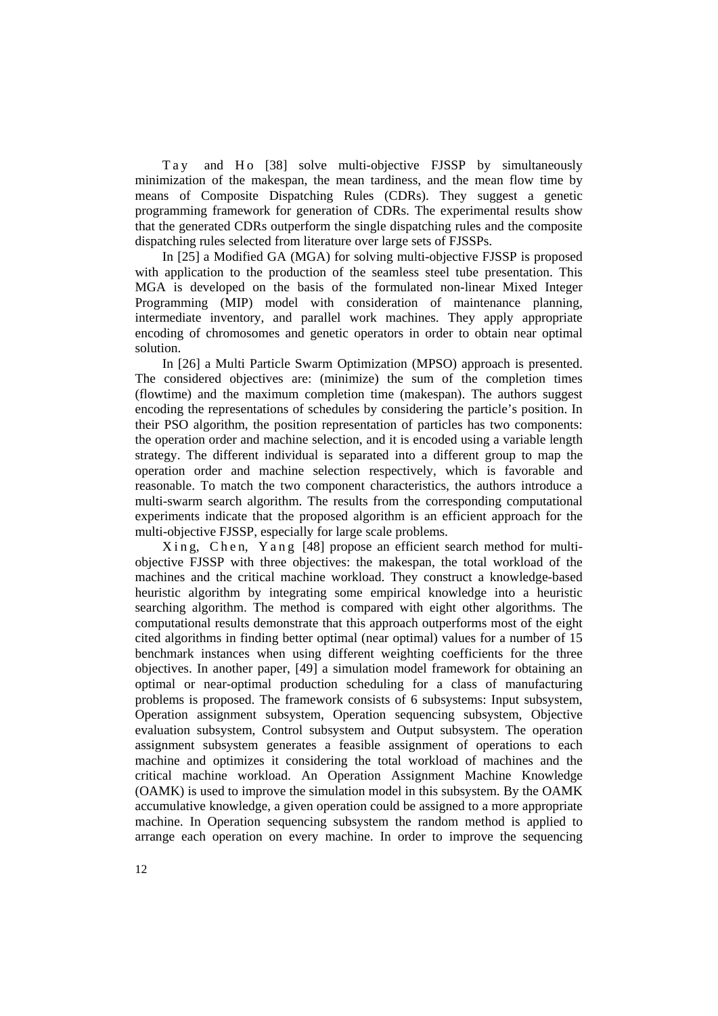Tay and H<sub>0</sub> [38] solve multi-objective FJSSP by simultaneously minimization of the makespan, the mean tardiness, and the mean flow time by means of Composite Dispatching Rules (CDRs). They suggest a genetic programming framework for generation of CDRs. The experimental results show that the generated CDRs outperform the single dispatching rules and the composite dispatching rules selected from literature over large sets of FJSSPs.

In [25] a Modified GA (MGA) for solving multi-objective FJSSP is proposed with application to the production of the seamless steel tube presentation. This MGA is developed on the basis of the formulated non-linear Mixed Integer Programming (MIP) model with consideration of maintenance planning, intermediate inventory, and parallel work machines. They apply appropriate encoding of chromosomes and genetic operators in order to obtain near optimal solution.

In [26] a Multi Particle Swarm Optimization (MPSO) approach is presented. The considered objectives are: (minimize) the sum of the completion times (flowtime) and the maximum completion time (makespan). The authors suggest encoding the representations of schedules by considering the particle's position. In their PSO algorithm, the position representation of particles has two components: the operation order and machine selection, and it is encoded using a variable length strategy. The different individual is separated into a different group to map the operation order and machine selection respectively, which is favorable and reasonable. To match the two component characteristics, the authors introduce a multi-swarm search algorithm. The results from the corresponding computational experiments indicate that the proposed algorithm is an efficient approach for the multi-objective FJSSP, especially for large scale problems.

 $X$ ing, Chen, Yang [48] propose an efficient search method for multiobjective FJSSP with three objectives: the makespan, the total workload of the machines and the critical machine workload. They construct a knowledge-based heuristic algorithm by integrating some empirical knowledge into a heuristic searching algorithm. The method is compared with eight other algorithms. The computational results demonstrate that this approach outperforms most of the eight cited algorithms in finding better optimal (near optimal) values for a number of 15 benchmark instances when using different weighting coefficients for the three objectives. In another paper, [49] a simulation model framework for obtaining an optimal or near-optimal production scheduling for a class of manufacturing problems is proposed. The framework consists of 6 subsystems: Input subsystem, Operation assignment subsystem, Operation sequencing subsystem, Objective evaluation subsystem, Control subsystem and Output subsystem. The operation assignment subsystem generates a feasible assignment of operations to each machine and optimizes it considering the total workload of machines and the critical machine workload. An Operation Assignment Machine Knowledge (OAMK) is used to improve the simulation model in this subsystem. By the OAMK accumulative knowledge, a given operation could be assigned to a more appropriate machine. In Operation sequencing subsystem the random method is applied to arrange each operation on every machine. In order to improve the sequencing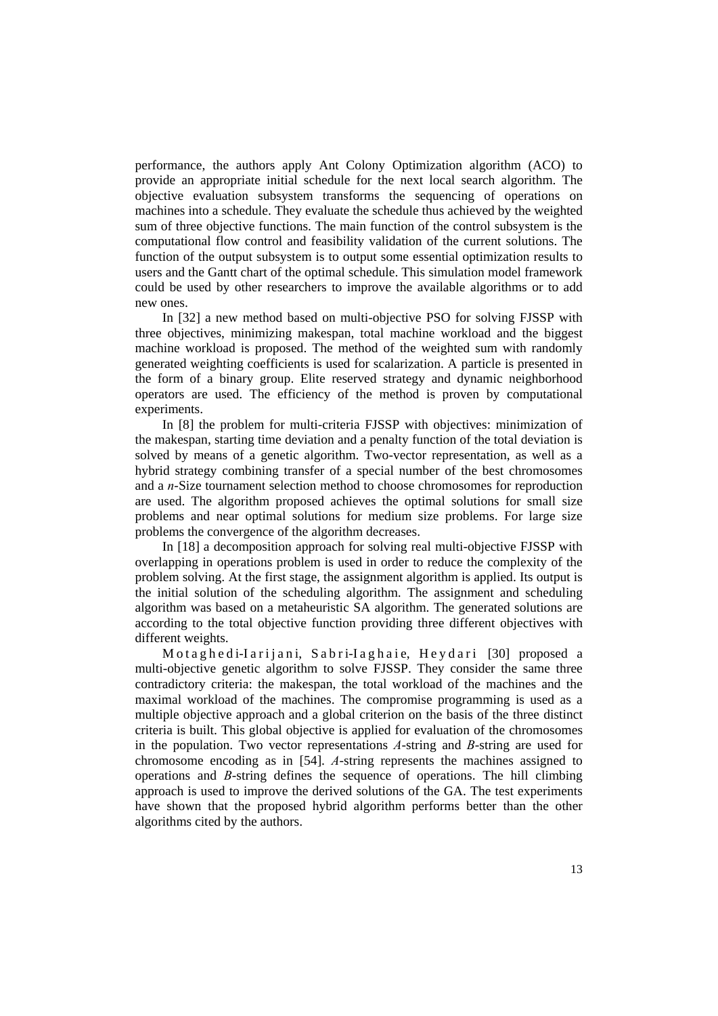performance, the authors apply Ant Colony Optimization algorithm (ACO) to provide an appropriate initial schedule for the next local search algorithm. The objective evaluation subsystem transforms the sequencing of operations on machines into a schedule. They evaluate the schedule thus achieved by the weighted sum of three objective functions. The main function of the control subsystem is the computational flow control and feasibility validation of the current solutions. The function of the output subsystem is to output some essential optimization results to users and the Gantt chart of the optimal schedule. This simulation model framework could be used by other researchers to improve the available algorithms or to add new ones.

In [32] a new method based on multi-objective PSO for solving FJSSP with three objectives, minimizing makespan, total machine workload and the biggest machine workload is proposed. The method of the weighted sum with randomly generated weighting coefficients is used for scalarization. A particle is presented in the form of a binary group. Elite reserved strategy and dynamic neighborhood operators are used. The efficiency of the method is proven by computational experiments.

In [8] the problem for multi-criteria FJSSP with objectives: minimization of the makespan, starting time deviation and a penalty function of the total deviation is solved by means of a genetic algorithm. Two-vector representation, as well as a hybrid strategy combining transfer of a special number of the best chromosomes and a *n*-Size tournament selection method to choose chromosomes for reproduction are used. The algorithm proposed achieves the optimal solutions for small size problems and near optimal solutions for medium size problems. For large size problems the convergence of the algorithm decreases.

In [18] a decomposition approach for solving real multi-objective FJSSP with overlapping in operations problem is used in order to reduce the complexity of the problem solving. At the first stage, the assignment algorithm is applied. Its output is the initial solution of the scheduling algorithm. The assignment and scheduling algorithm was based on a metaheuristic SA algorithm. The generated solutions are according to the total objective function providing three different objectives with different weights.

Motaghedi-Iarijani, Sabri-Iaghaie, Heydari [30] proposed a multi-objective genetic algorithm to solve FJSSP. They consider the same three contradictory criteria: the makespan, the total workload of the machines and the maximal workload of the machines. The compromise programming is used as a multiple objective approach and a global criterion on the basis of the three distinct criteria is built. This global objective is applied for evaluation of the chromosomes in the population. Two vector representations *A*-string and *B*-string are used for chromosome encoding as in [54]. *A*-string represents the machines assigned to operations and *B*-string defines the sequence of operations. The hill climbing approach is used to improve the derived solutions of the GA. The test experiments have shown that the proposed hybrid algorithm performs better than the other algorithms cited by the authors.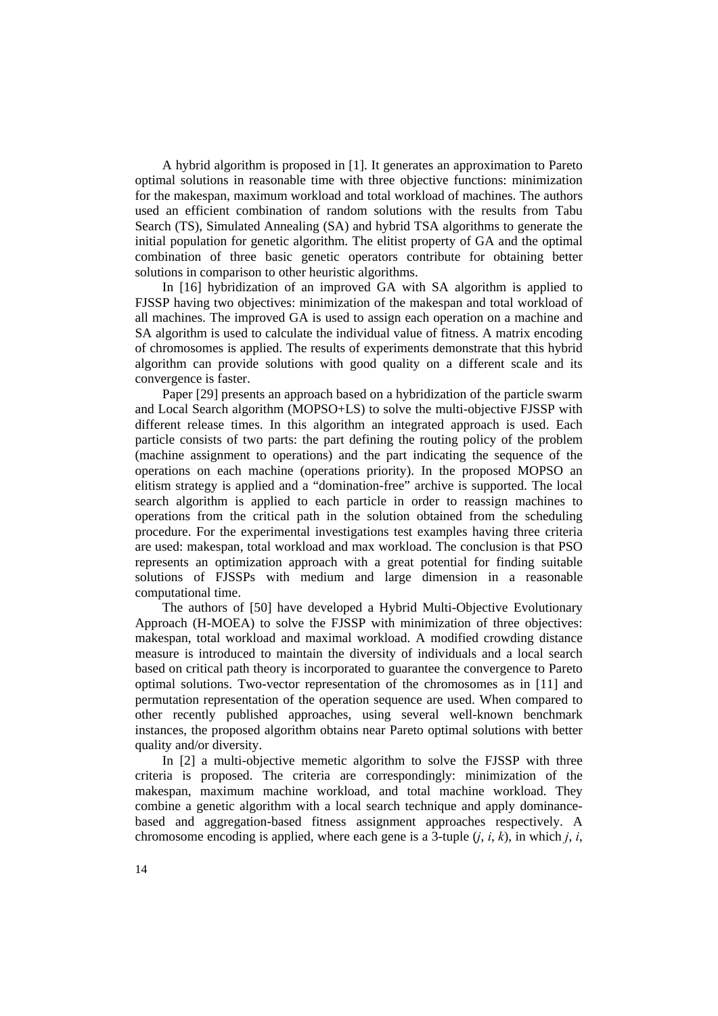A hybrid algorithm is proposed in [1]. It generates an approximation to Pareto optimal solutions in reasonable time with three objective functions: minimization for the makespan, maximum workload and total workload of machines. The authors used an efficient combination of random solutions with the results from Tabu Search (TS), Simulated Annealing (SA) and hybrid TSA algorithms to generate the initial population for genetic algorithm. The elitist property of GA and the optimal combination of three basic genetic operators contribute for obtaining better solutions in comparison to other heuristic algorithms.

In [16] hybridization of an improved GA with SA algorithm is applied to FJSSP having two objectives: minimization of the makespan and total workload of all machines. The improved GA is used to assign each operation on a machine and SA algorithm is used to calculate the individual value of fitness. A matrix encoding of chromosomes is applied. The results of experiments demonstrate that this hybrid algorithm can provide solutions with good quality on a different scale and its convergence is faster.

Paper [29] presents an approach based on a hybridization of the particle swarm and Local Search algorithm (MOPSO+LS) to solve the multi-objective FJSSP with different release times. In this algorithm an integrated approach is used. Each particle consists of two parts: the part defining the routing policy of the problem (machine assignment to operations) and the part indicating the sequence of the operations on each machine (operations priority). In the proposed MOPSO an elitism strategy is applied and a "domination-free" archive is supported. The local search algorithm is applied to each particle in order to reassign machines to operations from the critical path in the solution obtained from the scheduling procedure. For the experimental investigations test examples having three criteria are used: makespan, total workload and max workload. The conclusion is that PSO represents an optimization approach with a great potential for finding suitable solutions of FJSSPs with medium and large dimension in a reasonable computational time.

The authors of [50] have developed a Hybrid Multi-Objective Evolutionary Approach (H-MOEA) to solve the FJSSP with minimization of three objectives: makespan, total workload and maximal workload. A modified crowding distance measure is introduced to maintain the diversity of individuals and a local search based on critical path theory is incorporated to guarantee the convergence to Pareto optimal solutions. Two-vector representation of the chromosomes as in [11] and permutation representation of the operation sequence are used. When compared to other recently published approaches, using several well-known benchmark instances, the proposed algorithm obtains near Pareto optimal solutions with better quality and/or diversity.

In [2] a multi-objective memetic algorithm to solve the FJSSP with three criteria is proposed. The criteria are correspondingly: minimization of the makespan, maximum machine workload, and total machine workload. They combine a genetic algorithm with a local search technique and apply dominancebased and aggregation-based fitness assignment approaches respectively. A chromosome encoding is applied, where each gene is a 3-tuple (*j*, *i*, *k*), in which *j*, *i*,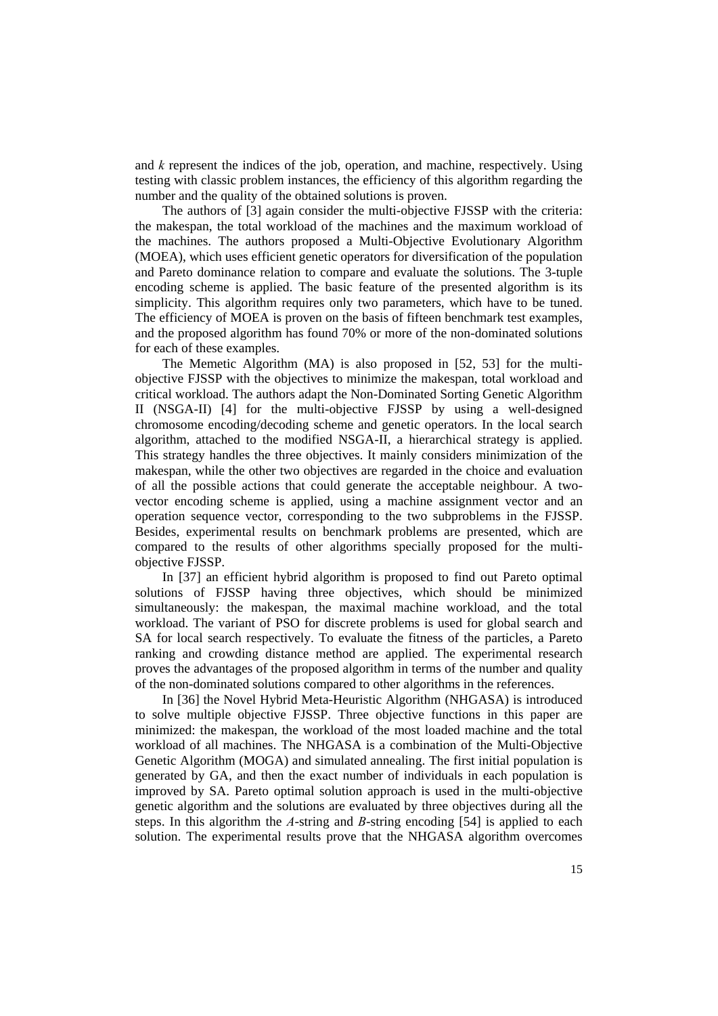and *k* represent the indices of the job, operation, and machine, respectively. Using testing with classic problem instances, the efficiency of this algorithm regarding the number and the quality of the obtained solutions is proven.

The authors of [3] again consider the multi-objective FJSSP with the criteria: the makespan, the total workload of the machines and the maximum workload of the machines. The authors proposed a Multi-Objective Evolutionary Algorithm (MOEA), which uses efficient genetic operators for diversification of the population and Pareto dominance relation to compare and evaluate the solutions. The 3-tuple encoding scheme is applied. The basic feature of the presented algorithm is its simplicity. This algorithm requires only two parameters, which have to be tuned. The efficiency of MOEA is proven on the basis of fifteen benchmark test examples, and the proposed algorithm has found 70% or more of the non-dominated solutions for each of these examples.

The Memetic Algorithm (MA) is also proposed in [52, 53] for the multiobjective FJSSP with the objectives to minimize the makespan, total workload and critical workload. The authors adapt the Non-Dominated Sorting Genetic Algorithm II (NSGA-II) [4] for the multi-objective FJSSP by using a well-designed chromosome encoding/decoding scheme and genetic operators. In the local search algorithm, attached to the modified NSGA-II, a hierarchical strategy is applied. This strategy handles the three objectives. It mainly considers minimization of the makespan, while the other two objectives are regarded in the choice and evaluation of all the possible actions that could generate the acceptable neighbour. A twovector encoding scheme is applied, using a machine assignment vector and an operation sequence vector, corresponding to the two subproblems in the FJSSP. Besides, experimental results on benchmark problems are presented, which are compared to the results of other algorithms specially proposed for the multiobjective FJSSP.

In [37] an efficient hybrid algorithm is proposed to find out Pareto optimal solutions of FJSSP having three objectives, which should be minimized simultaneously: the makespan, the maximal machine workload, and the total workload. The variant of PSO for discrete problems is used for global search and SA for local search respectively. To evaluate the fitness of the particles, a Pareto ranking and crowding distance method are applied. The experimental research proves the advantages of the proposed algorithm in terms of the number and quality of the non-dominated solutions compared to other algorithms in the references.

In [36] the Novel Hybrid Meta-Heuristic Algorithm (NHGASA) is introduced to solve multiple objective FJSSP. Three objective functions in this paper are minimized: the makespan, the workload of the most loaded machine and the total workload of all machines. The NHGASA is a combination of the Multi-Objective Genetic Algorithm (MOGA) and simulated annealing. The first initial population is generated by GA, and then the exact number of individuals in each population is improved by SA. Pareto optimal solution approach is used in the multi-objective genetic algorithm and the solutions are evaluated by three objectives during all the steps. In this algorithm the *A*-string and *B*-string encoding [54] is applied to each solution. The experimental results prove that the NHGASA algorithm overcomes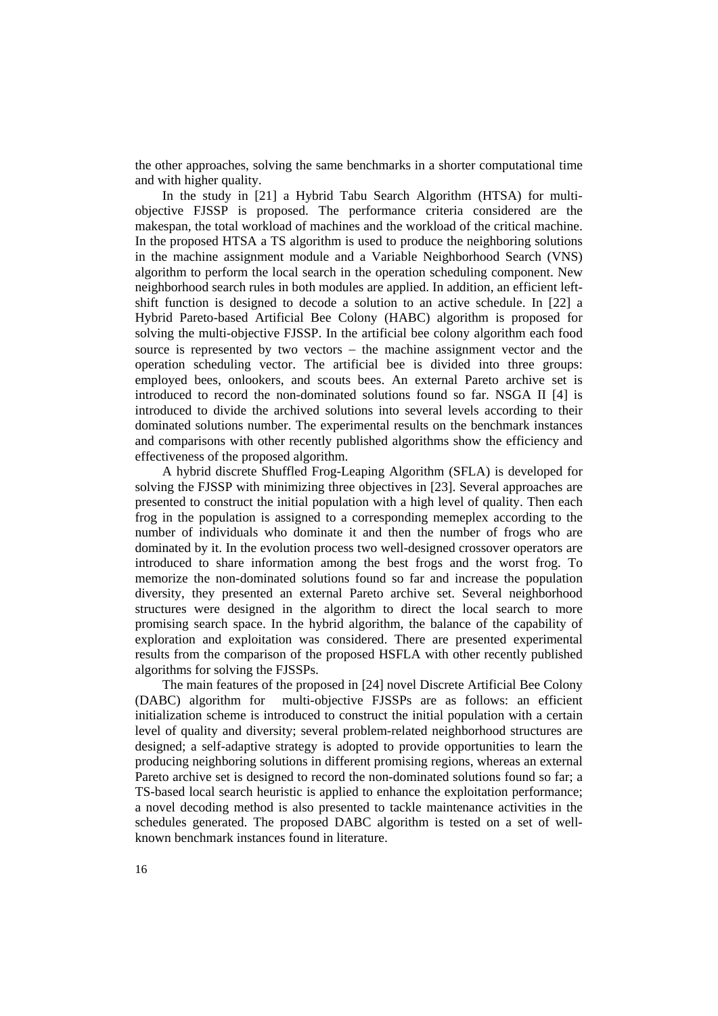the other approaches, solving the same benchmarks in a shorter computational time and with higher quality.

In the study in [21] a Hybrid Tabu Search Algorithm (HTSA) for multiobjective FJSSP is proposed. The performance criteria considered are the makespan, the total workload of machines and the workload of the critical machine. In the proposed HTSA a TS algorithm is used to produce the neighboring solutions in the machine assignment module and a Variable Neighborhood Search (VNS) algorithm to perform the local search in the operation scheduling component. New neighborhood search rules in both modules are applied. In addition, an efficient leftshift function is designed to decode a solution to an active schedule. In [22] a Hybrid Pareto-based Artificial Bee Colony (HABC) algorithm is proposed for solving the multi-objective FJSSP. In the artificial bee colony algorithm each food source is represented by two vectors − the machine assignment vector and the operation scheduling vector. The artificial bee is divided into three groups: employed bees, onlookers, and scouts bees. An external Pareto archive set is introduced to record the non-dominated solutions found so far. NSGA II [4] is introduced to divide the archived solutions into several levels according to their dominated solutions number. The experimental results on the benchmark instances and comparisons with other recently published algorithms show the efficiency and effectiveness of the proposed algorithm.

A hybrid discrete Shuffled Frog-Leaping Algorithm (SFLA) is developed for solving the FJSSP with minimizing three objectives in [23]. Several approaches are presented to construct the initial population with a high level of quality. Then each frog in the population is assigned to a corresponding memeplex according to the number of individuals who dominate it and then the number of frogs who are dominated by it. In the evolution process two well-designed crossover operators are introduced to share information among the best frogs and the worst frog. To memorize the non-dominated solutions found so far and increase the population diversity, they presented an external Pareto archive set. Several neighborhood structures were designed in the algorithm to direct the local search to more promising search space. In the hybrid algorithm, the balance of the capability of exploration and exploitation was considered. There are presented experimental results from the comparison of the proposed HSFLA with other recently published algorithms for solving the FJSSPs.

The main features of the proposed in [24] novel Discrete Artificial Bee Colony (DABC) algorithm for multi-objective FJSSPs are as follows: an efficient initialization scheme is introduced to construct the initial population with a certain level of quality and diversity; several problem-related neighborhood structures are designed; a self-adaptive strategy is adopted to provide opportunities to learn the producing neighboring solutions in different promising regions, whereas an external Pareto archive set is designed to record the non-dominated solutions found so far; a TS-based local search heuristic is applied to enhance the exploitation performance; a novel decoding method is also presented to tackle maintenance activities in the schedules generated. The proposed DABC algorithm is tested on a set of wellknown benchmark instances found in literature.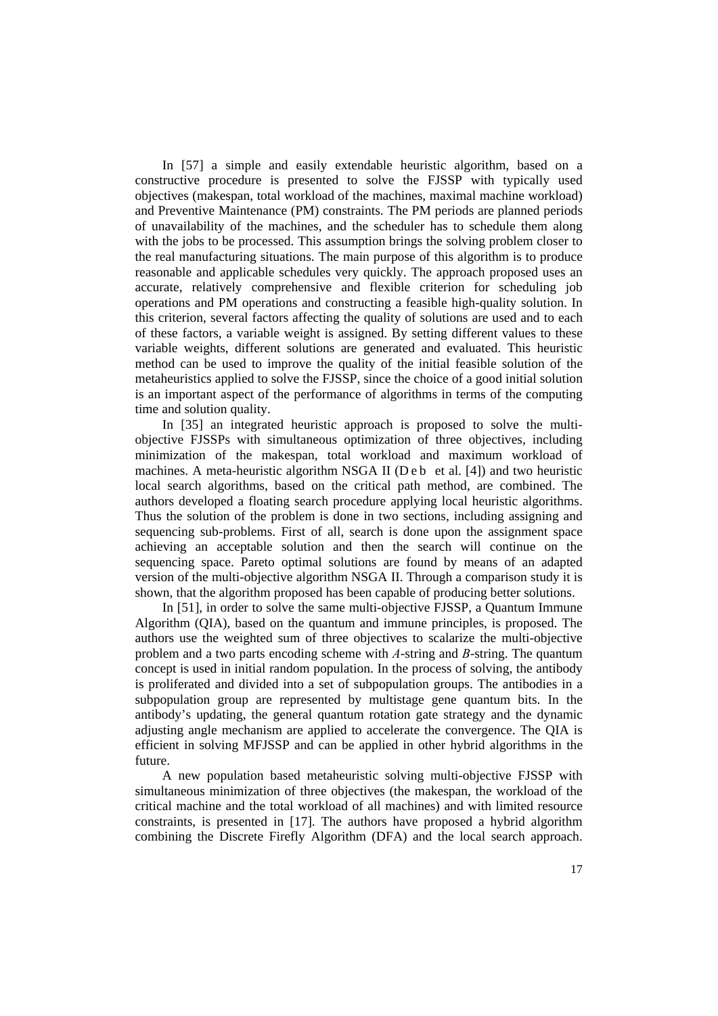In [57] a simple and easily extendable heuristic algorithm, based on a constructive procedure is presented to solve the FJSSP with typically used objectives (makespan, total workload of the machines, maximal machine workload) and Preventive Maintenance (PM) constraints. The PM periods are planned periods of unavailability of the machines, and the scheduler has to schedule them along with the jobs to be processed. This assumption brings the solving problem closer to the real manufacturing situations. The main purpose of this algorithm is to produce reasonable and applicable schedules very quickly. The approach proposed uses an accurate, relatively comprehensive and flexible criterion for scheduling job operations and PM operations and constructing a feasible high-quality solution. In this criterion, several factors affecting the quality of solutions are used and to each of these factors, a variable weight is assigned. By setting different values to these variable weights, different solutions are generated and evaluated. This heuristic method can be used to improve the quality of the initial feasible solution of the metaheuristics applied to solve the FJSSP, since the choice of a good initial solution is an important aspect of the performance of algorithms in terms of the computing time and solution quality.

In [35] an integrated heuristic approach is proposed to solve the multiobjective FJSSPs with simultaneous optimization of three objectives, including minimization of the makespan, total workload and maximum workload of machines. A meta-heuristic algorithm NSGA II ( $De b$  et al. [4]) and two heuristic local search algorithms, based on the critical path method, are combined. The authors developed a floating search procedure applying local heuristic algorithms. Thus the solution of the problem is done in two sections, including assigning and sequencing sub-problems. First of all, search is done upon the assignment space achieving an acceptable solution and then the search will continue on the sequencing space. Pareto optimal solutions are found by means of an adapted version of the multi-objective algorithm NSGA II. Through a comparison study it is shown, that the algorithm proposed has been capable of producing better solutions.

In [51], in order to solve the same multi-objective FJSSP, a Quantum Immune Algorithm (QIA), based on the quantum and immune principles, is proposed. The authors use the weighted sum of three objectives to scalarize the multi-objective problem and a two parts encoding scheme with *A*-string and *B*-string. The quantum concept is used in initial random population. In the process of solving, the antibody is proliferated and divided into a set of subpopulation groups. The antibodies in a subpopulation group are represented by multistage gene quantum bits. In the antibody's updating, the general quantum rotation gate strategy and the dynamic adjusting angle mechanism are applied to accelerate the convergence. The QIA is efficient in solving MFJSSP and can be applied in other hybrid algorithms in the future.

A new population based metaheuristic solving multi-objective FJSSP with simultaneous minimization of three objectives (the makespan, the workload of the critical machine and the total workload of all machines) and with limited resource constraints, is presented in [17]. The authors have proposed a hybrid algorithm combining the Discrete Firefly Algorithm (DFA) and the local search approach.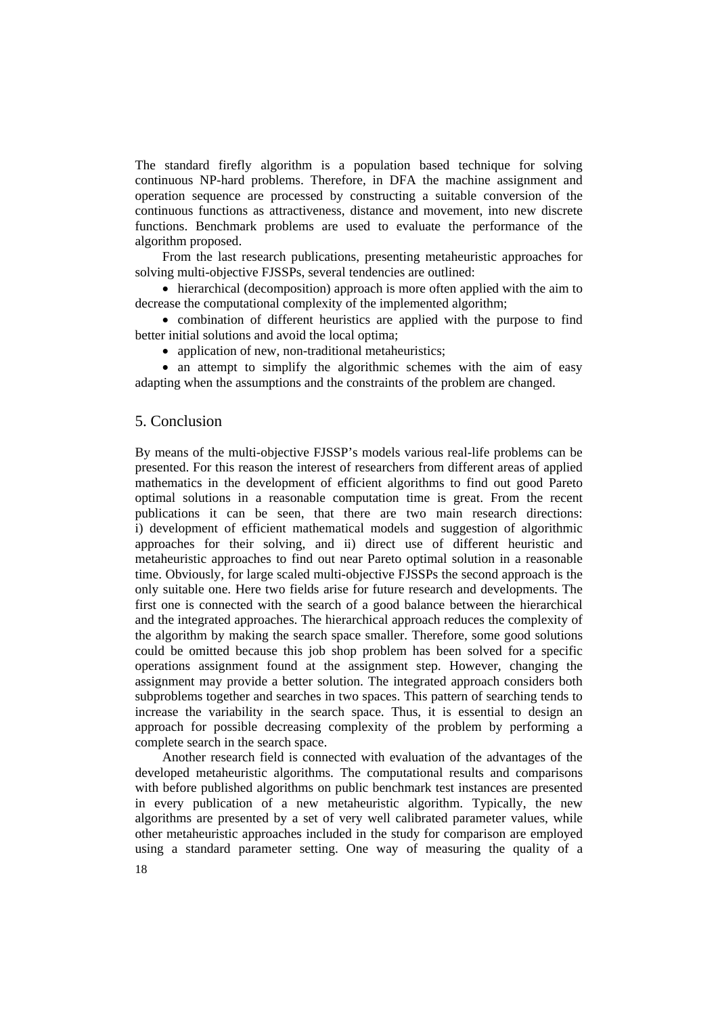The standard firefly algorithm is a population based technique for solving continuous NP-hard problems. Therefore, in DFA the machine assignment and operation sequence are processed by constructing a suitable conversion of the continuous functions as attractiveness, distance and movement, into new discrete functions. Benchmark problems are used to evaluate the performance of the algorithm proposed.

From the last research publications, presenting metaheuristic approaches for solving multi-objective FJSSPs, several tendencies are outlined:

• hierarchical (decomposition) approach is more often applied with the aim to decrease the computational complexity of the implemented algorithm;

• combination of different heuristics are applied with the purpose to find better initial solutions and avoid the local optima;

• application of new, non-traditional metaheuristics;

• an attempt to simplify the algorithmic schemes with the aim of easy adapting when the assumptions and the constraints of the problem are changed.

## 5. Conclusion

By means of the multi-objective FJSSP's models various real-life problems can be presented. For this reason the interest of researchers from different areas of applied mathematics in the development of efficient algorithms to find out good Pareto optimal solutions in a reasonable computation time is great. From the recent publications it can be seen, that there are two main research directions: i) development of efficient mathematical models and suggestion of algorithmic approaches for their solving, and ii) direct use of different heuristic and metaheuristic approaches to find out near Pareto optimal solution in a reasonable time. Obviously, for large scaled multi-objective FJSSPs the second approach is the only suitable one. Here two fields arise for future research and developments. The first one is connected with the search of a good balance between the hierarchical and the integrated approaches. The hierarchical approach reduces the complexity of the algorithm by making the search space smaller. Therefore, some good solutions could be omitted because this job shop problem has been solved for a specific operations assignment found at the assignment step. However, changing the assignment may provide a better solution. The integrated approach considers both subproblems together and searches in two spaces. This pattern of searching tends to increase the variability in the search space. Thus, it is essential to design an approach for possible decreasing complexity of the problem by performing a complete search in the search space.

Another research field is connected with evaluation of the advantages of the developed metaheuristic algorithms. The computational results and comparisons with before published algorithms on public benchmark test instances are presented in every publication of a new metaheuristic algorithm. Typically, the new algorithms are presented by a set of very well calibrated parameter values, while other metaheuristic approaches included in the study for comparison are employed using a standard parameter setting. One way of measuring the quality of a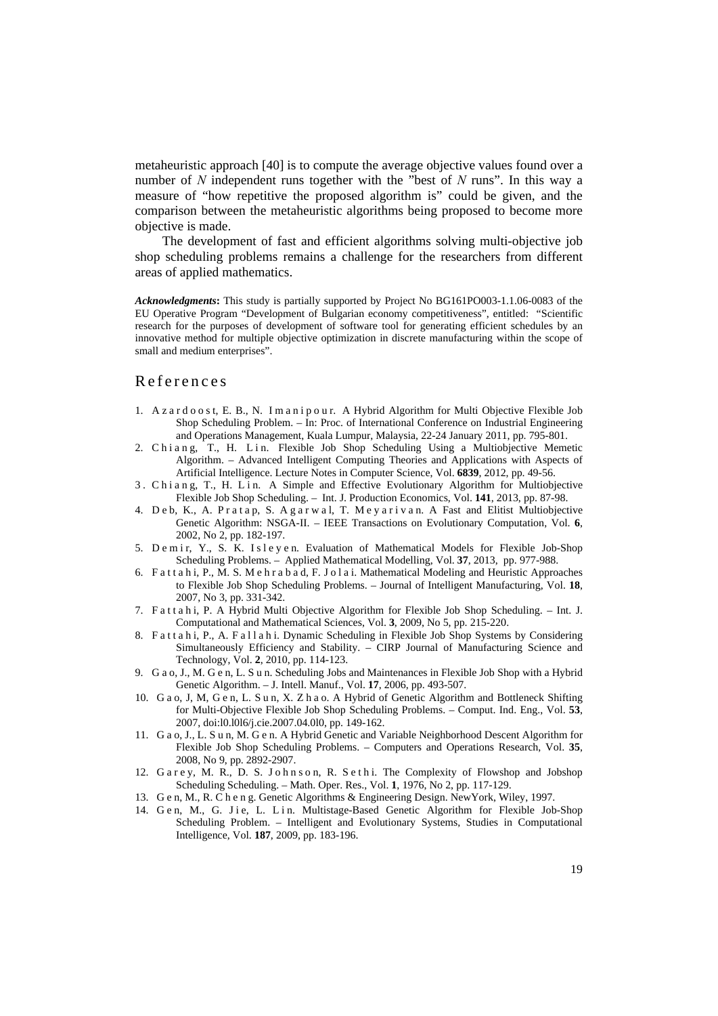metaheuristic approach [40] is to compute the average objective values found over a number of *N* independent runs together with the "best of *N* runs". In this way a measure of "how repetitive the proposed algorithm is" could be given, and the comparison between the metaheuristic algorithms being proposed to become more objective is made.

The development of fast and efficient algorithms solving multi-objective job shop scheduling problems remains a challenge for the researchers from different areas of applied mathematics.

*Acknowledgments***:** This study is partially supported by Project No BG161PO003-1.1.06-0083 of the EU Operative Program "Development of Bulgarian economy competitiveness", entitled: "Scientific research for the purposes of development of software tool for generating efficient schedules by an innovative method for multiple objective optimization in discrete manufacturing within the scope of small and medium enterprises".

#### References

- 1. A z a r d o o s t, E. B., N. I m a n i p o u r. A Hybrid Algorithm for Multi Objective Flexible Job Shop Scheduling Problem. – In: Proc. of International Conference on Industrial Engineering and Operations Management, Kuala Lumpur, Malaysia, 22-24 January 2011, pp. 795-801.
- 2. Chiang, T., H. Lin. Flexible Job Shop Scheduling Using a Multiobjective Memetic Algorithm. – Advanced Intelligent Computing Theories and Applications with Aspects of Artificial Intelligence. Lecture Notes in Computer Science, Vol. **6839**, 2012, pp. 49-56.
- 3 . C h i a n g, T., H. L i n. A Simple and Effective Evolutionary Algorithm for Multiobjective Flexible Job Shop Scheduling. – Int. J. Production Economics, Vol. **141**, 2013, pp. 87-98.
- 4. De b, K., A. Pratap, S. Agarwal, T. Meyarivan. A Fast and Elitist Multiobjective Genetic Algorithm: NSGA-II. – IEEE Transactions on Evolutionary Computation, Vol. **6**, 2002, No 2, pp. 182-197.
- 5. Demir, Y., S. K. Isleyen. Evaluation of Mathematical Models for Flexible Job-Shop Scheduling Problems. – Applied Mathematical Modelling, Vol. **37**, 2013, pp. 977-988.
- 6. F a t t a h i, P., M. S. M e h r a b a d, F. J o l a i. Mathematical Modeling and Heuristic Approaches to Flexible Job Shop Scheduling Problems. – Journal of Intelligent Manufacturing, Vol. **18**, 2007, No 3, pp. 331-342.
- 7. F a t t a h i, P. A Hybrid Multi Objective Algorithm for Flexible Job Shop Scheduling. Int. J. Computational and Mathematical Sciences, Vol. **3**, 2009, No 5, pp. 215-220.
- 8. F a t t a h i, P., A. F a l l a h i. Dynamic Scheduling in Flexible Job Shop Systems by Considering Simultaneously Efficiency and Stability. – CIRP Journal of Manufacturing Science and Technology, Vol. **2**, 2010, pp. 114-123.
- 9. G a o, J., M. G e n, L. S u n. Scheduling Jobs and Maintenances in Flexible Job Shop with a Hybrid Genetic Algorithm. – J. Intell. Manuf., Vol. **17**, 2006, pp. 493-507.
- 10. G a o, J, M, G e n, L. S u n, X. Z h a o. A Hybrid of Genetic Algorithm and Bottleneck Shifting for Multi-Objective Flexible Job Shop Scheduling Problems. – Comput. Ind. Eng., Vol. **53**, 2007, doi:l0.l0l6/j.cie.2007.04.0l0, pp. 149-162.
- 11. G a o, J., L. S u n, M. G e n. A Hybrid Genetic and Variable Neighborhood Descent Algorithm for Flexible Job Shop Scheduling Problems. – Computers and Operations Research, Vol. **35**, 2008, No 9, pp. 2892-2907.
- 12. Garey, M. R., D. S. Johnson, R. Sethi. The Complexity of Flowshop and Jobshop Scheduling Scheduling. – Math. Oper. Res., Vol. **1**, 1976, No 2, pp. 117-129.
- 13. G e n, M., R. C h e n g. Genetic Algorithms & Engineering Design. NewYork, Wiley, 1997.
- 14. Gen, M., G. Jie, L. Lin. Multistage-Based Genetic Algorithm for Flexible Job-Shop Scheduling Problem. – Intelligent and Evolutionary Systems, Studies in Computational Intelligence, Vol. **187**, 2009, pp. 183-196.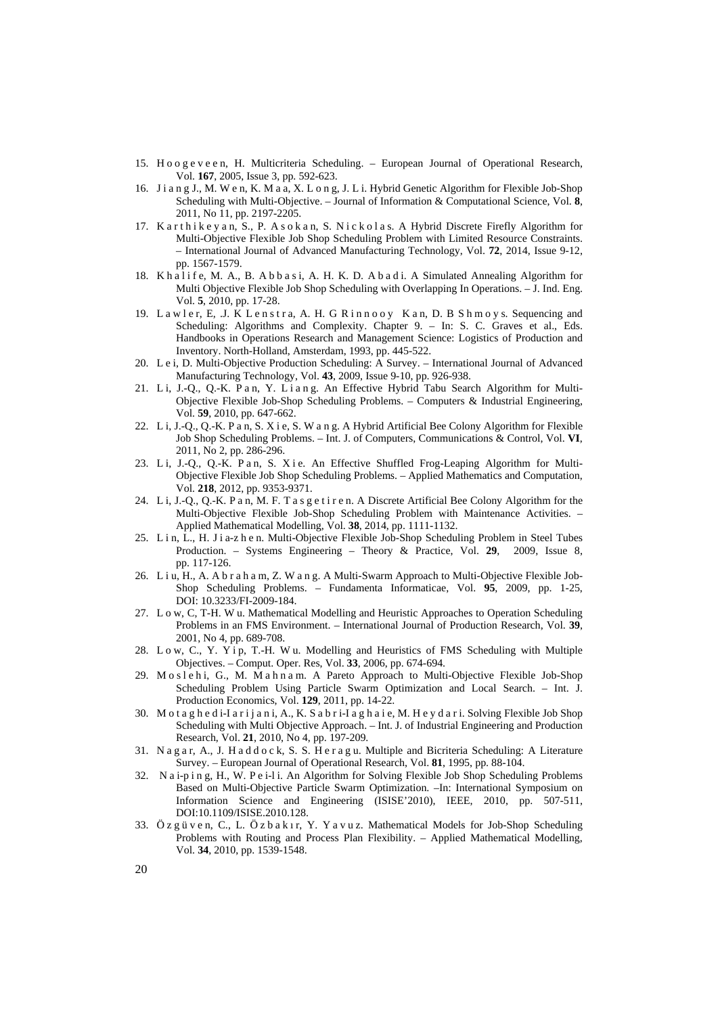- 15. H o o g e v e e n, H. Multicriteria Scheduling. European Journal of Operational Research, Vol. **167**, 2005, Issue 3, pp. 592-623.
- 16. J i a n g J., M. W e n, K. M a a, X. L o n g, J. L i. Hybrid Genetic Algorithm for Flexible Job-Shop Scheduling with Multi-Objective. – Journal of Information & Computational Science, Vol. **8**, 2011, No 11, pp. 2197-2205.
- 17. K a r t h i k e y a n, S., P. A s o k a n, S. N i c k o l a s. A Hybrid Discrete Firefly Algorithm for Multi-Objective Flexible Job Shop Scheduling Problem with Limited Resource Constraints. – International Journal of Advanced Manufacturing Technology, Vol. **72**, 2014, Issue 9-12, pp. 1567-1579.
- 18. K h a l i f e, M. A., B. A b b a s i, A. H. K. D. A b a d i. A Simulated Annealing Algorithm for Multi Objective Flexible Job Shop Scheduling with Overlapping In Operations. – J. Ind. Eng. Vol. **5**, 2010, pp. 17-28.
- 19. Lawler, E, J. K Lenstra, A. H. G Rinnooy Kan, D. B Shmoys. Sequencing and Scheduling: Algorithms and Complexity. Chapter 9. – In: S. C. Graves et al., Eds. Handbooks in Operations Research and Management Science: Logistics of Production and Inventory. North-Holland, Amsterdam, 1993, pp. 445-522.
- 20. L e i, D. Multi-Objective Production Scheduling: A Survey. International Journal of Advanced Manufacturing Technology, Vol. **43**, 2009, Issue 9-10, pp. 926-938.
- 21. Li, J.-Q., Q.-K. Pan, Y. Liang. An Effective Hybrid Tabu Search Algorithm for Multi-Objective Flexible Job-Shop Scheduling Problems. – Computers & Industrial Engineering, Vol. **59**, 2010, pp. 647-662.
- 22. L i, J.-Q., Q.-K. P a n, S. X i e, S. W a n g. A Hybrid Artificial Bee Colony Algorithm for Flexible Job Shop Scheduling Problems. – Int. J. of Computers, Communications & Control, Vol. **VI**, 2011, No 2, pp. 286-296.
- 23. L i, J.-Q., Q.-K. P a n, S. X i e. An Effective Shuffled Frog-Leaping Algorithm for Multi-Objective Flexible Job Shop Scheduling Problems. – Applied Mathematics and Computation, Vol. **218**, 2012, pp. 9353-9371.
- 24. L i, J.-Q., Q.-K. P a n, M. F. T a s g e t i r e n. A Discrete Artificial Bee Colony Algorithm for the Multi-Objective Flexible Job-Shop Scheduling Problem with Maintenance Activities. – Applied Mathematical Modelling, Vol. **38**, 2014, pp. 1111-1132.
- 25. L i n, L., H. J i a-z h e n. Multi-Objective Flexible Job-Shop Scheduling Problem in Steel Tubes Production. – Systems Engineering – Theory & Practice, Vol. **29**, 2009, Issue 8, pp. 117-126.
- 26. L i u, H., A. A b r a h a m, Z. W a n g. A Multi-Swarm Approach to Multi-Objective Flexible Job-Shop Scheduling Problems. – Fundamenta Informaticae, Vol. **95**, 2009, pp. 1-25, DOI: 10.3233/FI-2009-184.
- 27. L o w, C, T-H. W u. Mathematical Modelling and Heuristic Approaches to Operation Scheduling Problems in an FMS Environment. – International Journal of Production Research, Vol. **39**, 2001, No 4, pp. 689-708.
- 28. L o w, C., Y. Y i p, T.-H. W u. Modelling and Heuristics of FMS Scheduling with Multiple Objectives. – Comput. Oper. Res, Vol. **33**, 2006, pp. 674-694.
- 29. M o s l e h i, G., M. M a h n a m. A Pareto Approach to Multi-Objective Flexible Job-Shop Scheduling Problem Using Particle Swarm Optimization and Local Search. – Int. J. Production Economics, Vol. **129**, 2011, pp. 14-22.
- 30. M o t a g h e d i-I a r i j a n i, A., K. S a b r i-I a g h a i e, M. H e y d a r i. Solving Flexible Job Shop Scheduling with Multi Objective Approach. – Int. J. of Industrial Engineering and Production Research, Vol. **21**, 2010, No 4, pp. 197-209.
- 31. N a g a r, A., J. H a d d o c k, S. S. H e r a g u. Multiple and Bicriteria Scheduling: A Literature Survey. – European Journal of Operational Research, Vol. **81**, 1995, pp. 88-104.
- 32. N a i-p i n g, H., W. P e i-l i. An Algorithm for Solving Flexible Job Shop Scheduling Problems Based on Multi-Objective Particle Swarm Optimization. –In: International Symposium on Information Science and Engineering (ISISE'2010), IEEE, 2010, pp. 507-511, DOI:10.1109/ISISE.2010.128.
- 33. Ö z g ü v e n, C., L. Ö z b a k ı r, Y. Y a v u z. Mathematical Models for Job-Shop Scheduling Problems with Routing and Process Plan Flexibility. – Applied Mathematical Modelling, Vol. **34**, 2010, pp. 1539-1548.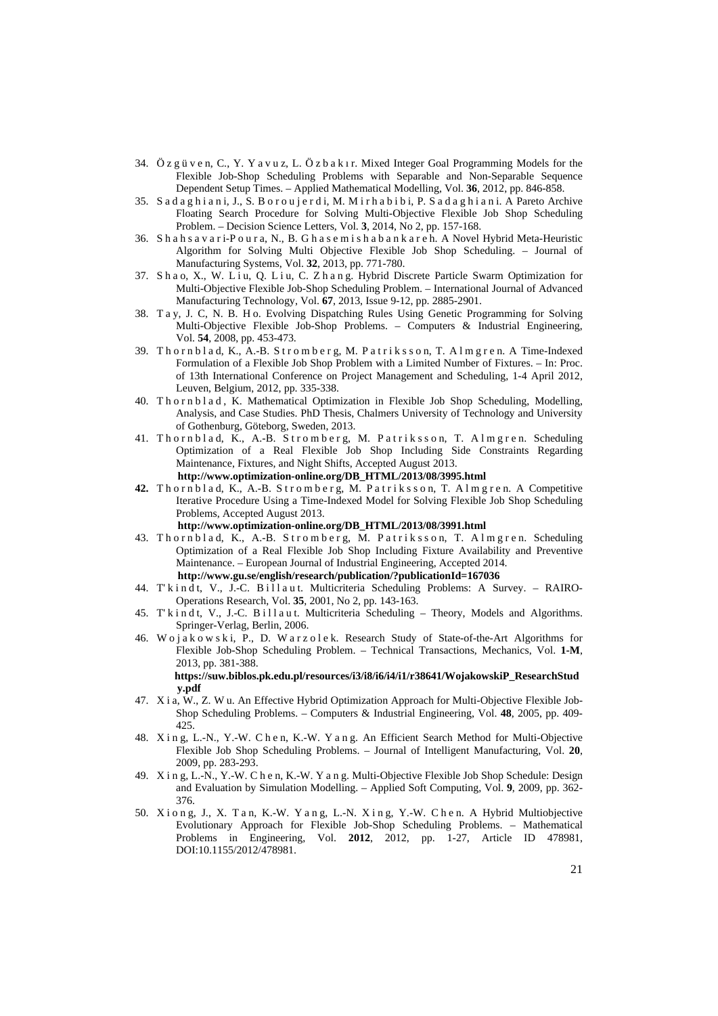- 34. Ö z g ü v e n, C., Y. Y a v u z, L. Ö z b a k ı r. Mixed Integer Goal Programming Models for the Flexible Job-Shop Scheduling Problems with Separable and Non-Separable Sequence Dependent Setup Times. – Applied Mathematical Modelling, Vol. **36**, 2012, pp. 846-858.
- 35. Sadaghiani, J., S. B or ou j erdi, M. M i r habibi, P. Sadaghiani. A Pareto Archive Floating Search Procedure for Solving Multi-Objective Flexible Job Shop Scheduling Problem. – Decision Science Letters, Vol. **3**, 2014, No 2, pp. 157-168.
- 36. S h a h s a v a r i-P o u r a, N., B. G h a s e m i s h a b a n k a r e h. A Novel Hybrid Meta-Heuristic Algorithm for Solving Multi Objective Flexible Job Shop Scheduling. – Journal of Manufacturing Systems, Vol. **32**, 2013, pp. 771-780.
- 37. S h a o, X., W. L i u, Q. L i u, C. Z h a n g. Hybrid Discrete Particle Swarm Optimization for Multi-Objective Flexible Job-Shop Scheduling Problem. – International Journal of Advanced Manufacturing Technology, Vol. **67**, 2013, Issue 9-12, pp. 2885-2901.
- 38. T a y, J. C, N. B. H o. Evolving Dispatching Rules Using Genetic Programming for Solving Multi-Objective Flexible Job-Shop Problems. – Computers & Industrial Engineering, Vol. **54**, 2008, pp. 453-473.
- 39. T h o r n b l a d, K., A.-B. S t r o m b e r g, M. P a t r i k s s o n, T. A l m g r e n. A Time-Indexed Formulation of a Flexible Job Shop Problem with a Limited Number of Fixtures. – In: Proc. of 13th International Conference on Project Management and Scheduling, 1-4 April 2012, Leuven, Belgium, 2012, pp. 335-338.
- 40. T h o r n b l a d , K. Mathematical Optimization in Flexible Job Shop Scheduling, Modelling, Analysis, and Case Studies. PhD Thesis, Chalmers University of Technology and University of Gothenburg, Göteborg, Sweden, 2013.
- 41. Thornblad, K., A.-B. Stromberg, M. Patriksson, T. Almgren. Scheduling Optimization of a Real Flexible Job Shop Including Side Constraints Regarding Maintenance, Fixtures, and Night Shifts, Accepted August 2013. **http://www.optimization-online.org/DB\_HTML/2013/08/3995.html**
- **42.** T h o r n b l a d, K., A.-B. S t r o m b e r g, M. P a t r i k s s o n, T. A l m g r e n. A Competitive Iterative Procedure Using a Time-Indexed Model for Solving Flexible Job Shop Scheduling Problems, Accepted August 2013. **http://www.optimization-online.org/DB\_HTML/2013/08/3991.html** 
	-
- 43. Thornblad, K., A.-B. Stromberg, M. Patriksson, T. Almgren. Scheduling Optimization of a Real Flexible Job Shop Including Fixture Availability and Preventive Maintenance. – European Journal of Industrial Engineering, Accepted 2014. **http://www.gu.se/english/research/publication/?publicationId=167036**
- 44. T' k i n d t, V., J.-C. B i l l a u t. Multicriteria Scheduling Problems: A Survey. RAIRO-Operations Research, Vol. **35**, 2001, No 2, pp. 143-163.
- 45. T' k i n d t, V., J.-C. B i l l a u t. Multicriteria Scheduling Theory, Models and Algorithms. Springer-Verlag, Berlin, 2006.
- 46. W o j a k o w s k i, P., D. W a r z o l e k. Research Study of State-of-the-Art Algorithms for Flexible Job-Shop Scheduling Problem. – Technical Transactions, Mechanics, Vol. **1-M**, 2013, pp. 381-388. **https://suw.biblos.pk.edu.pl/resources/i3/i8/i6/i4/i1/r38641/WojakowskiP\_ResearchStud**
- **y.pdf**  47. X i a, W., Z. W u. An Effective Hybrid Optimization Approach for Multi-Objective Flexible Job-Shop Scheduling Problems. – Computers & Industrial Engineering, Vol. **48**, 2005, pp. 409-
- 425. 48. X i n g, L.-N., Y.-W. C h e n, K.-W. Y a n g. An Efficient Search Method for Multi-Objective
- Flexible Job Shop Scheduling Problems. Journal of Intelligent Manufacturing, Vol. **20**, 2009, pp. 283-293.
- 49. X i n g, L.-N., Y.-W. C h e n, K.-W. Y a n g. Multi-Objective Flexible Job Shop Schedule: Design and Evaluation by Simulation Modelling. – Applied Soft Computing, Vol. **9**, 2009, pp. 362- 376.
- 50. X i o n g, J., X. T a n, K.-W. Y a n g, L.-N. X i n g, Y.-W. C h e n. A Hybrid Multiobjective Evolutionary Approach for Flexible Job-Shop Scheduling Problems. – Mathematical Problems in Engineering, Vol. **2012**, 2012, pp. 1-27, Article ID 478981, DOI:10.1155/2012/478981.